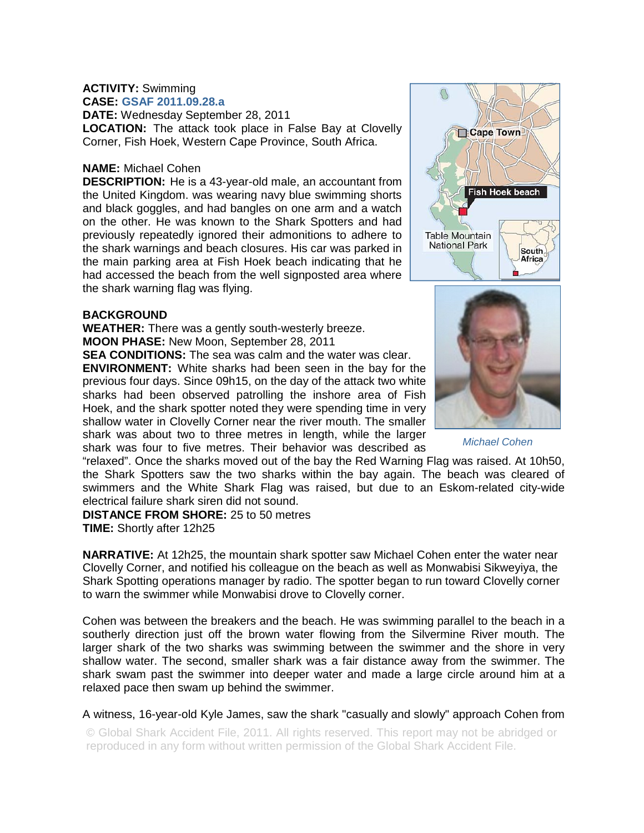#### **ACTIVITY:** Swimming **CASE: GSAF 2011.09.28.a**

**DATE:** Wednesday September 28, 2011 **LOCATION:** The attack took place in False Bay at Clovelly Corner, Fish Hoek, Western Cape Province, South Africa.

## **NAME:** Michael Cohen

**DESCRIPTION:** He is a 43-year-old male, an accountant from the United Kingdom. was wearing navy blue swimming shorts and black goggles, and had bangles on one arm and a watch on the other. He was known to the Shark Spotters and had previously repeatedly ignored their admonitions to adhere to the shark warnings and beach closures. His car was parked in the main parking area at Fish Hoek beach indicating that he had accessed the beach from the well signposted area where the shark warning flag was flying.

#### **BACKGROUND**

**WEATHER:** There was a gently south-westerly breeze. **MOON PHASE:** New Moon, September 28, 2011

**SEA CONDITIONS:** The sea was calm and the water was clear. **ENVIRONMENT:** White sharks had been seen in the bay for the previous four days. Since 09h15, on the day of the attack two white sharks had been observed patrolling the inshore area of Fish Hoek, and the shark spotter noted they were spending time in very shallow water in Clovelly Corner near the river mouth. The smaller shark was about two to three metres in length, while the larger shark was four to five metres. Their behavior was described as

"relaxed". Once the sharks moved out of the bay the Red Warning Flag was raised. At 10h50, the Shark Spotters saw the two sharks within the bay again. The beach was cleared of swimmers and the White Shark Flag was raised, but due to an Eskom-related city-wide electrical failure shark siren did not sound.

# **DISTANCE FROM SHORE:** 25 to 50 metres

**TIME:** Shortly after 12h25

**NARRATIVE:** At 12h25, the mountain shark spotter saw Michael Cohen enter the water near Clovelly Corner, and notified his colleague on the beach as well as Monwabisi Sikweyiya, the Shark Spotting operations manager by radio. The spotter began to run toward Clovelly corner to warn the swimmer while Monwabisi drove to Clovelly corner.

Cohen was between the breakers and the beach. He was swimming parallel to the beach in a southerly direction just off the brown water flowing from the Silvermine River mouth. The larger shark of the two sharks was swimming between the swimmer and the shore in very shallow water. The second, smaller shark was a fair distance away from the swimmer. The shark swam past the swimmer into deeper water and made a large circle around him at a relaxed pace then swam up behind the swimmer.

### A witness, 16-year-old Kyle James, saw the shark "casually and slowly" approach Cohen from

© Global Shark Accident File, 2011. All rights reserved. This report may not be abridged or reproduced in any form without written permission of the Global Shark Accident File.





*Michael Cohen*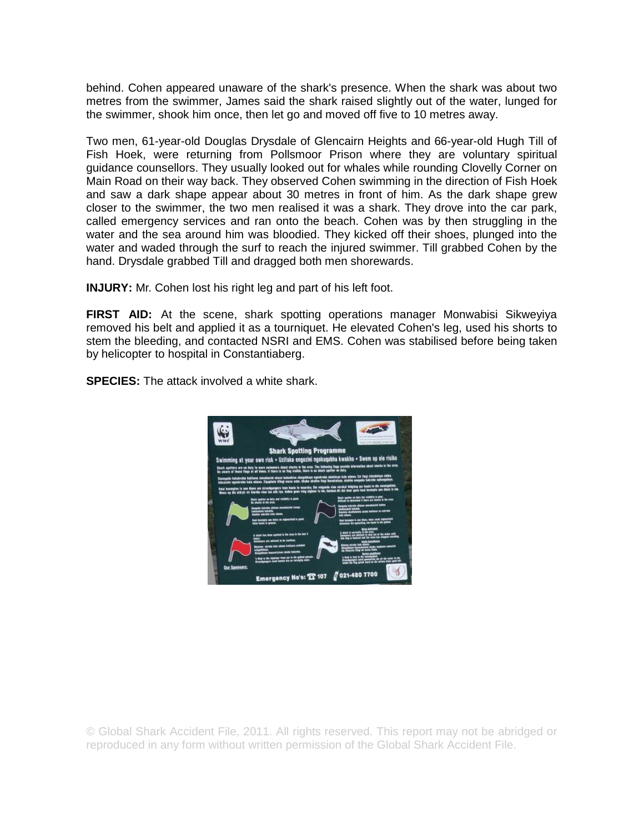behind. Cohen appeared unaware of the shark's presence. When the shark was about two metres from the swimmer, James said the shark raised slightly out of the water, lunged for the swimmer, shook him once, then let go and moved off five to 10 metres away.

Two men, 61-year-old Douglas Drysdale of Glencairn Heights and 66-year-old Hugh Till of Fish Hoek, were returning from Pollsmoor Prison where they are voluntary spiritual guidance counsellors. They usually looked out for whales while rounding Clovelly Corner on Main Road on their way back. They observed Cohen swimming in the direction of Fish Hoek and saw a dark shape appear about 30 metres in front of him. As the dark shape grew closer to the swimmer, the two men realised it was a shark. They drove into the car park, called emergency services and ran onto the beach. Cohen was by then struggling in the water and the sea around him was bloodied. They kicked off their shoes, plunged into the water and waded through the surf to reach the injured swimmer. Till grabbed Cohen by the hand. Drysdale grabbed Till and dragged both men shorewards.

**INJURY:** Mr. Cohen lost his right leg and part of his left foot.

**FIRST AID:** At the scene, shark spotting operations manager Monwabisi Sikweyiya removed his belt and applied it as a tourniquet. He elevated Cohen's leg, used his shorts to stem the bleeding, and contacted NSRI and EMS. Cohen was stabilised before being taken by helicopter to hospital in Constantiaberg.

**SPECIES:** The attack involved a white shark.



© Global Shark Accident File, 2011. All rights reserved. This report may not be abridged or reproduced in any form without written permission of the Global Shark Accident File.